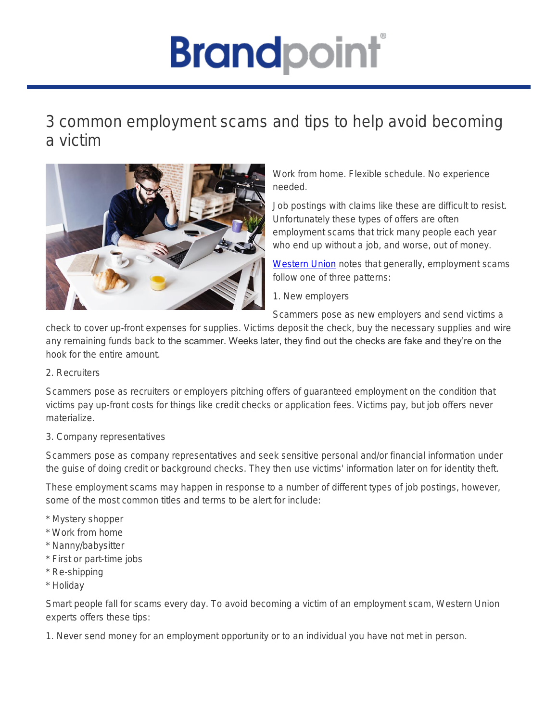## **Brandpoint**

## 3 common employment scams and tips to help avoid becoming a victim



Work from home. Flexible schedule. No experience needed.

Job postings with claims like these are difficult to resist. Unfortunately these types of offers are often employment scams that trick many people each year who end up without a job, and worse, out of money.

[Western Union](https://www.westernunion.com/fraudawareness) notes that generally, employment scams follow one of three patterns:

1. New employers

Scammers pose as new employers and send victims a

check to cover up-front expenses for supplies. Victims deposit the check, buy the necessary supplies and wire any remaining funds back to the scammer. Weeks later, they find out the checks are fake and they're on the hook for the entire amount.

## 2. Recruiters

Scammers pose as recruiters or employers pitching offers of guaranteed employment on the condition that victims pay up-front costs for things like credit checks or application fees. Victims pay, but job offers never materialize.

## 3. Company representatives

Scammers pose as company representatives and seek sensitive personal and/or financial information under the guise of doing credit or background checks. They then use victims' information later on for identity theft.

These employment scams may happen in response to a number of different types of job postings, however, some of the most common titles and terms to be alert for include:

- \* Mystery shopper
- \* Work from home
- \* Nanny/babysitter
- \* First or part-time jobs
- \* Re-shipping
- \* Holiday

Smart people fall for scams every day. To avoid becoming a victim of an employment scam, Western Union experts offers these tips:

1. Never send money for an employment opportunity or to an individual you have not met in person.